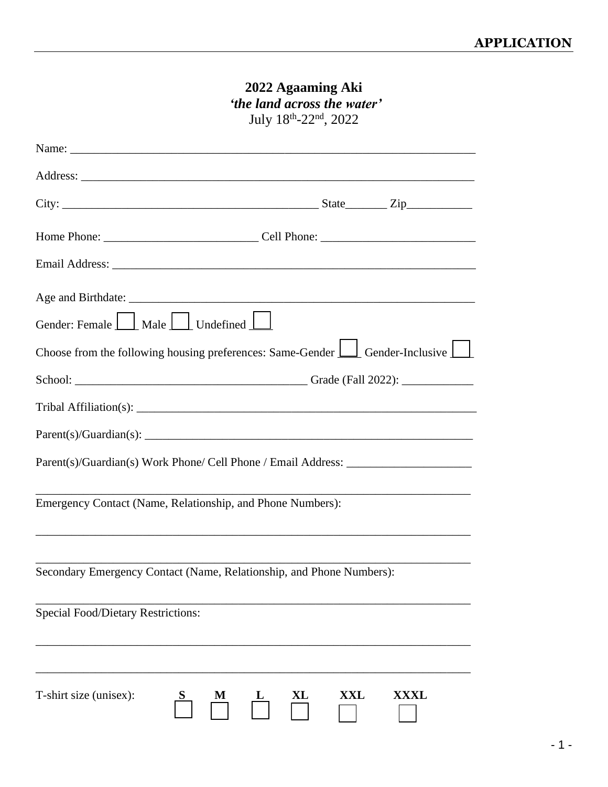# **2022 Agaaming Aki** *'the land across the water'*

July 18<sup>th</sup>-22<sup>nd</sup>, 2022

| Gender: Female   Male   Undefined                                                                                       |  |  |  |
|-------------------------------------------------------------------------------------------------------------------------|--|--|--|
| Choose from the following housing preferences: Same-Gender $\boxed{\phantom{a}}$ Gender-Inclusive $\boxed{\phantom{a}}$ |  |  |  |
|                                                                                                                         |  |  |  |
|                                                                                                                         |  |  |  |
| Parent(s)/Guardian(s):                                                                                                  |  |  |  |
| Parent(s)/Guardian(s) Work Phone/ Cell Phone / Email Address: __________________                                        |  |  |  |
| Emergency Contact (Name, Relationship, and Phone Numbers):                                                              |  |  |  |
| Secondary Emergency Contact (Name, Relationship, and Phone Numbers):                                                    |  |  |  |
| <b>Special Food/Dietary Restrictions:</b>                                                                               |  |  |  |
| T-shirt size (unisex):<br>XXL<br><b>XXXL</b><br>XL                                                                      |  |  |  |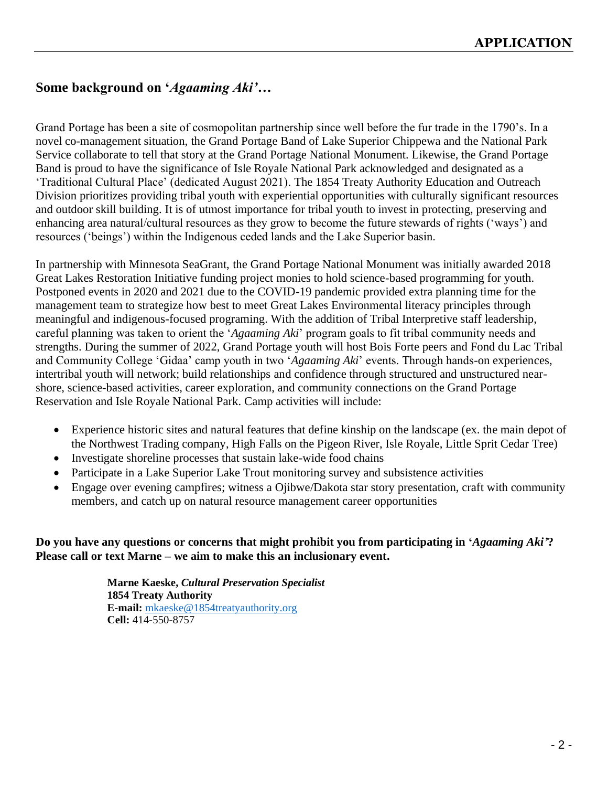## **Some background on '***Agaaming Aki'***…**

Grand Portage has been a site of cosmopolitan partnership since well before the fur trade in the 1790's. In a novel co-management situation, the Grand Portage Band of Lake Superior Chippewa and the National Park Service collaborate to tell that story at the Grand Portage National Monument. Likewise, the Grand Portage Band is proud to have the significance of Isle Royale National Park acknowledged and designated as a 'Traditional Cultural Place' (dedicated August 2021). The 1854 Treaty Authority Education and Outreach Division prioritizes providing tribal youth with experiential opportunities with culturally significant resources and outdoor skill building. It is of utmost importance for tribal youth to invest in protecting, preserving and enhancing area natural/cultural resources as they grow to become the future stewards of rights ('ways') and resources ('beings') within the Indigenous ceded lands and the Lake Superior basin.

In partnership with Minnesota SeaGrant, the Grand Portage National Monument was initially awarded 2018 Great Lakes Restoration Initiative funding project monies to hold science-based programming for youth. Postponed events in 2020 and 2021 due to the COVID-19 pandemic provided extra planning time for the management team to strategize how best to meet Great Lakes Environmental literacy principles through meaningful and indigenous-focused programing. With the addition of Tribal Interpretive staff leadership, careful planning was taken to orient the '*Agaaming Aki*' program goals to fit tribal community needs and strengths. During the summer of 2022, Grand Portage youth will host Bois Forte peers and Fond du Lac Tribal and Community College 'Gidaa' camp youth in two '*Agaaming Aki*' events. Through hands-on experiences, intertribal youth will network; build relationships and confidence through structured and unstructured nearshore, science-based activities, career exploration, and community connections on the Grand Portage Reservation and Isle Royale National Park. Camp activities will include:

- Experience historic sites and natural features that define kinship on the landscape (ex. the main depot of the Northwest Trading company, High Falls on the Pigeon River, Isle Royale, Little Sprit Cedar Tree)
- Investigate shoreline processes that sustain lake-wide food chains
- Participate in a Lake Superior Lake Trout monitoring survey and subsistence activities
- Engage over evening campfires; witness a Ojibwe/Dakota star story presentation, craft with community members, and catch up on natural resource management career opportunities

**Do you have any questions or concerns that might prohibit you from participating in '***Agaaming Aki'***? Please call or text Marne – we aim to make this an inclusionary event.**

> **Marne Kaeske,** *Cultural Preservation Specialist* **1854 Treaty Authority E-mail:** [mkaeske@1854treatyauthority.org](mailto:mkaeske@1854treatyauthority.org) **Cell:** 414-550-8757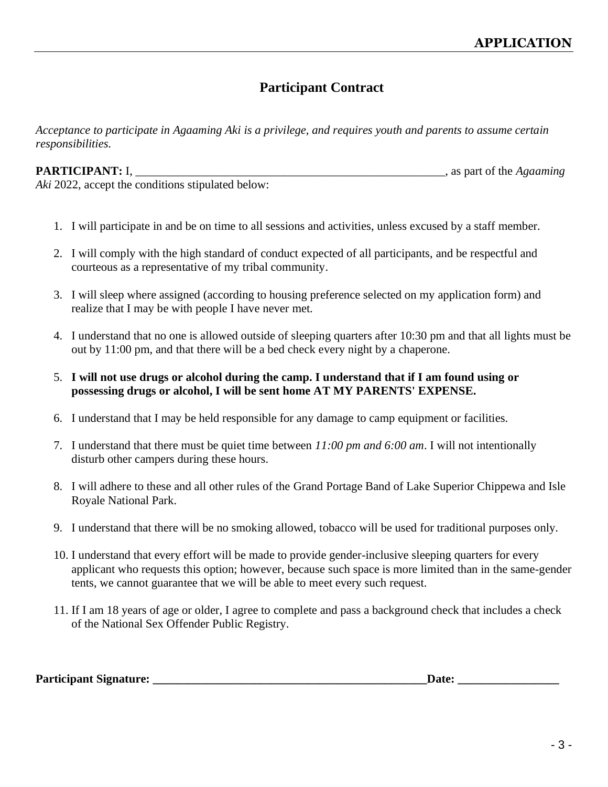## **Participant Contract**

*Acceptance to participate in Agaaming Aki is a privilege, and requires youth and parents to assume certain responsibilities.*

**PARTICIPANT:** I, \_\_\_\_\_\_\_\_\_\_\_\_\_\_\_\_\_\_\_\_\_\_\_\_\_\_\_\_\_\_\_\_\_\_\_\_\_\_\_\_\_\_\_\_\_\_\_\_\_\_\_\_, as part of the *Agaaming* 

*Aki* 2022, accept the conditions stipulated below:

- 1. I will participate in and be on time to all sessions and activities, unless excused by a staff member.
- 2. I will comply with the high standard of conduct expected of all participants, and be respectful and courteous as a representative of my tribal community.
- 3. I will sleep where assigned (according to housing preference selected on my application form) and realize that I may be with people I have never met.
- 4. I understand that no one is allowed outside of sleeping quarters after 10:30 pm and that all lights must be out by 11:00 pm, and that there will be a bed check every night by a chaperone.
- 5. **I will not use drugs or alcohol during the camp. I understand that if I am found using or possessing drugs or alcohol, I will be sent home AT MY PARENTS' EXPENSE.**
- 6. I understand that I may be held responsible for any damage to camp equipment or facilities.
- 7. I understand that there must be quiet time between *11:00 pm and 6:00 am*. I will not intentionally disturb other campers during these hours.
- 8. I will adhere to these and all other rules of the Grand Portage Band of Lake Superior Chippewa and Isle Royale National Park.
- 9. I understand that there will be no smoking allowed, tobacco will be used for traditional purposes only.
- 10. I understand that every effort will be made to provide gender-inclusive sleeping quarters for every applicant who requests this option; however, because such space is more limited than in the same-gender tents, we cannot guarantee that we will be able to meet every such request.
- 11. If I am 18 years of age or older, I agree to complete and pass a background check that includes a check of the National Sex Offender Public Registry.

| <b>Participant Signature:</b> | ')ate: |
|-------------------------------|--------|
|                               |        |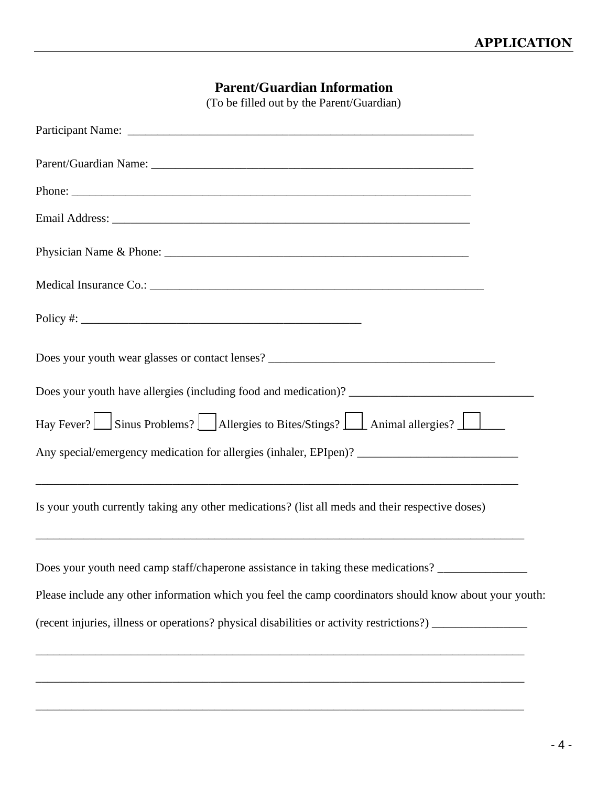## **Parent/Guardian Information**

(To be filled out by the Parent/Guardian)

| Policy #: $\frac{1}{2}$ = $\frac{1}{2}$ = $\frac{1}{2}$ = $\frac{1}{2}$ = $\frac{1}{2}$ = $\frac{1}{2}$ = $\frac{1}{2}$ = $\frac{1}{2}$ = $\frac{1}{2}$ = $\frac{1}{2}$ = $\frac{1}{2}$ = $\frac{1}{2}$ = $\frac{1}{2}$ = $\frac{1}{2}$ = $\frac{1}{2}$ = $\frac{1}{2}$ = $\frac{1}{2}$ = $\frac{1}{2$ |  |
|--------------------------------------------------------------------------------------------------------------------------------------------------------------------------------------------------------------------------------------------------------------------------------------------------------|--|
|                                                                                                                                                                                                                                                                                                        |  |
|                                                                                                                                                                                                                                                                                                        |  |
| Hay Fever? Sinus Problems? Allergies to Bites/Stings? Animal allergies?                                                                                                                                                                                                                                |  |
| Any special/emergency medication for allergies (inhaler, EPIpen)? __________________________________                                                                                                                                                                                                   |  |
| Is your youth currently taking any other medications? (list all meds and their respective doses)                                                                                                                                                                                                       |  |
| Does your youth need camp staff/chaperone assistance in taking these medications?                                                                                                                                                                                                                      |  |
| Please include any other information which you feel the camp coordinators should know about your youth:                                                                                                                                                                                                |  |
| (recent injuries, illness or operations? physical disabilities or activity restrictions?) ________________                                                                                                                                                                                             |  |
|                                                                                                                                                                                                                                                                                                        |  |

\_\_\_\_\_\_\_\_\_\_\_\_\_\_\_\_\_\_\_\_\_\_\_\_\_\_\_\_\_\_\_\_\_\_\_\_\_\_\_\_\_\_\_\_\_\_\_\_\_\_\_\_\_\_\_\_\_\_\_\_\_\_\_\_\_\_\_\_\_\_\_\_\_\_\_\_\_\_\_\_\_\_